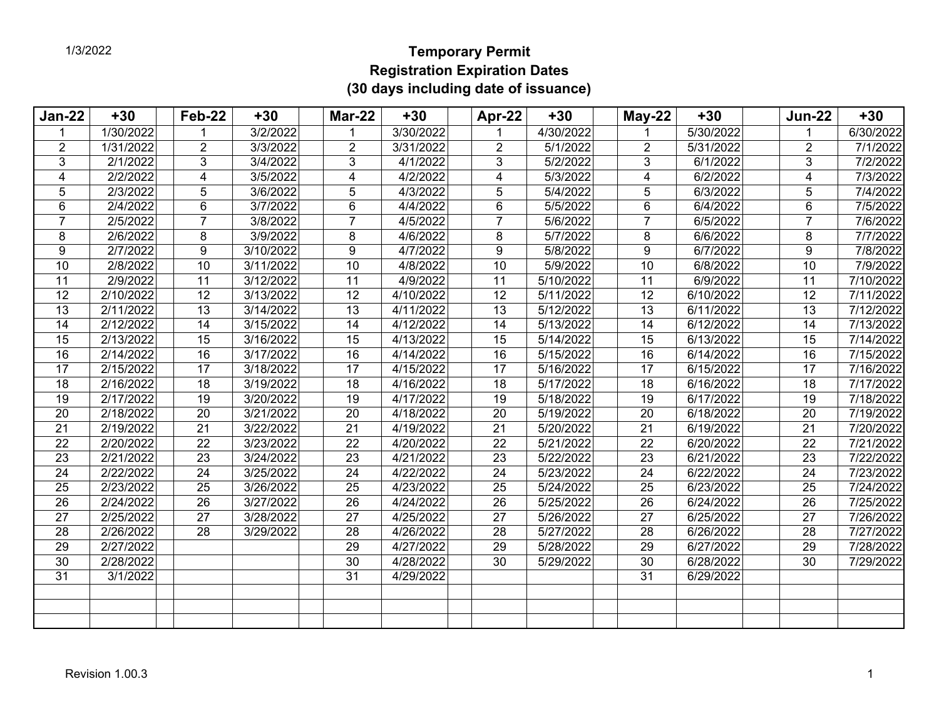## **Temporary Permit Registration Expiration Dates (30 days including date of issuance)**

| <b>Jan-22</b>   | $+30$                  | Feb-22          | $+30$     | <b>Mar-22</b>   | $+30$                  | Apr-22          | $+30$                  | $May-22$        | $+30$     | <b>Jun-22</b>   | $+30$     |
|-----------------|------------------------|-----------------|-----------|-----------------|------------------------|-----------------|------------------------|-----------------|-----------|-----------------|-----------|
|                 | 1/30/2022              |                 | 3/2/2022  |                 | 3/30/2022              |                 | 4/30/2022              |                 | 5/30/2022 | 1               | 6/30/2022 |
| 2               | 1/31/2022              | $\overline{2}$  | 3/3/2022  | $\overline{2}$  | 3/31/2022              | $\overline{2}$  | 5/1/2022               | $\overline{2}$  | 5/31/2022 | $\overline{2}$  | 7/1/2022  |
| 3               | 2/1/2022               | 3               | 3/4/2022  | 3               | 4/1/2022               | 3               | 5/2/2022               | 3               | 6/1/2022  | 3               | 7/2/2022  |
| 4               | 2/2/2022               | 4               | 3/5/2022  | 4               | 4/2/2022               | 4               | 5/3/2022               | $\overline{4}$  | 6/2/2022  | 4               | 7/3/2022  |
| 5               | 2/3/2022               | 5               | 3/6/2022  | 5               | 4/3/2022               | 5               | 5/4/2022               | 5               | 6/3/2022  | 5               | 7/4/2022  |
| 6               | 2/4/2022               | 6               | 3/7/2022  | $6\phantom{1}$  | 4/4/2022               | 6               | 5/5/2022               | 6               | 6/4/2022  | 6               | 7/5/2022  |
| 7               | 2/5/2022               | 7               | 3/8/2022  | $\overline{7}$  | 4/5/2022               | $\overline{7}$  | 5/6/2022               | 7               | 6/5/2022  | $\overline{7}$  | 7/6/2022  |
| 8               | 2/6/2022               | 8               | 3/9/2022  | 8               | 4/6/2022               | 8               | 5/7/2022               | 8               | 6/6/2022  | 8               | 7/7/2022  |
| 9               | 2/7/2022               | 9               | 3/10/2022 | 9               | 4/7/2022               | 9               | 5/8/2022               | 9               | 6/7/2022  | 9               | 7/8/2022  |
| $\overline{10}$ | 2/8/2022               | 10              | 3/11/2022 | 10              | 4/8/2022               | $\overline{10}$ | 5/9/2022               | 10              | 6/8/2022  | $\overline{10}$ | 7/9/2022  |
| 11              | 2/9/2022               | 11              | 3/12/2022 | 11              | 4/9/2022               | 11              | 5/10/2022              | 11              | 6/9/2022  | 11              | 7/10/2022 |
| 12              | $\overline{2/10/2022}$ | 12              | 3/13/2022 | $\overline{12}$ | 4/10/2022              | 12              | 5/11/2022              | 12              | 6/10/2022 | 12              | 7/11/2022 |
| 13              | 2/11/2022              | 13              | 3/14/2022 | $\overline{13}$ | $\overline{4/11/2022}$ | 13              | 5/12/2022              | 13              | 6/11/2022 | 13              | 7/12/2022 |
| $\overline{14}$ | 2/12/2022              | $\overline{14}$ | 3/15/2022 | 14              | 4/12/2022              | $\overline{14}$ | 5/13/2022              | 14              | 6/12/2022 | $\overline{14}$ | 7/13/2022 |
| 15              | 2/13/2022              | 15              | 3/16/2022 | 15              | 4/13/2022              | 15              | 5/14/2022              | 15              | 6/13/2022 | 15              | 7/14/2022 |
| 16              | 2/14/2022              | 16              | 3/17/2022 | 16              | 4/14/2022              | 16              | 5/15/2022              | 16              | 6/14/2022 | 16              | 7/15/2022 |
| 17              | 2/15/2022              | $\overline{17}$ | 3/18/2022 | $\overline{17}$ | 4/15/2022              | 17              | $\overline{5/16/2022}$ | $\overline{17}$ | 6/15/2022 | 17              | 7/16/2022 |
| 18              | 2/16/2022              | 18              | 3/19/2022 | 18              | 4/16/2022              | 18              | 5/17/2022              | 18              | 6/16/2022 | 18              | 7/17/2022 |
| 19              | 2/17/2022              | 19              | 3/20/2022 | 19              | 4/17/2022              | 19              | 5/18/2022              | 19              | 6/17/2022 | 19              | 7/18/2022 |
| 20              | 2/18/2022              | 20              | 3/21/2022 | 20              | 4/18/2022              | 20              | 5/19/2022              | 20              | 6/18/2022 | 20              | 7/19/2022 |
| $\overline{21}$ | 2/19/2022              | $\overline{21}$ | 3/22/2022 | $\overline{21}$ | 4/19/2022              | 21              | 5/20/2022              | $\overline{21}$ | 6/19/2022 | $\overline{21}$ | 7/20/2022 |
| $\overline{22}$ | 2/20/2022              | 22              | 3/23/2022 | $\overline{22}$ | 4/20/2022              | 22              | 5/21/2022              | 22              | 6/20/2022 | $\overline{22}$ | 7/21/2022 |
| 23              | 2/21/2022              | 23              | 3/24/2022 | 23              | 4/21/2022              | 23              | 5/22/2022              | 23              | 6/21/2022 | 23              | 7/22/2022 |
| 24              | $\overline{2}/22/2022$ | 24              | 3/25/2022 | 24              | 4/22/2022              | 24              | 5/23/2022              | 24              | 6/22/2022 | 24              | 7/23/2022 |
| 25              | $\sqrt{2/23/2022}$     | 25              | 3/26/2022 | 25              | 4/23/2022              | 25              | 5/24/2022              | 25              | 6/23/2022 | 25              | 7/24/2022 |
| 26              | 2/24/2022              | 26              | 3/27/2022 | 26              | 4/24/2022              | 26              | 5/25/2022              | 26              | 6/24/2022 | 26              | 7/25/2022 |
| 27              | 2/25/2022              | 27              | 3/28/2022 | $\overline{27}$ | 4/25/2022              | 27              | 5/26/2022              | 27              | 6/25/2022 | 27              | 7/26/2022 |
| $\overline{28}$ | 2/26/2022              | 28              | 3/29/2022 | $\overline{28}$ | 4/26/2022              | 28              | 5/27/2022              | $\overline{28}$ | 6/26/2022 | $\overline{28}$ | 7/27/2022 |
| $\overline{29}$ | 2/27/2022              |                 |           | 29              | 4/27/2022              | 29              | 5/28/2022              | $\overline{29}$ | 6/27/2022 | $\overline{29}$ | 7/28/2022 |
| $\overline{30}$ | 2/28/2022              |                 |           | $\overline{30}$ | 4/28/2022              | 30              | 5/29/2022              | 30              | 6/28/2022 | 30              | 7/29/2022 |
| 31              | 3/1/2022               |                 |           | 31              | 4/29/2022              |                 |                        | 31              | 6/29/2022 |                 |           |
|                 |                        |                 |           |                 |                        |                 |                        |                 |           |                 |           |
|                 |                        |                 |           |                 |                        |                 |                        |                 |           |                 |           |
|                 |                        |                 |           |                 |                        |                 |                        |                 |           |                 |           |